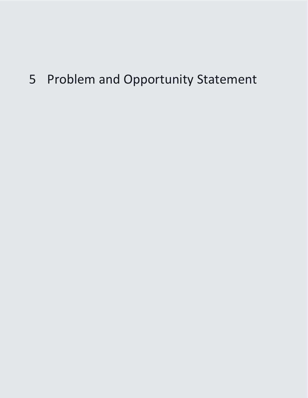# 5 Problem and Opportunity Statement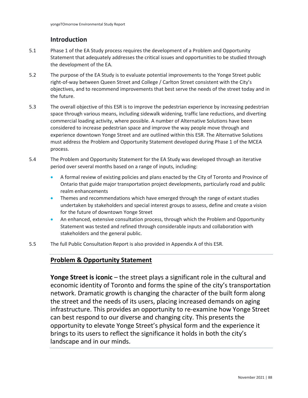## **Introduction**

- 5.1 Phase 1 of the EA Study process requires the development of a Problem and Opportunity Statement that adequately addresses the critical issues and opportunities to be studied through the development of the EA.
- 5.2 The purpose of the EA Study is to evaluate potential improvements to the Yonge Street public right-of-way between Queen Street and College / Carlton Street consistent with the City's objectives, and to recommend improvements that best serve the needs of the street today and in the future.
- 5.3 The overall objective of this ESR is to improve the pedestrian experience by increasing pedestrian space through various means, including sidewalk widening, traffic lane reductions, and diverting commercial loading activity, where possible. A number of Alternative Solutions have been considered to increase pedestrian space and improve the way people move through and experience downtown Yonge Street and are outlined within this ESR. The Alternative Solutions must address the Problem and Opportunity Statement developed during Phase 1 of the MCEA process.
- 5.4 The Problem and Opportunity Statement for the EA Study was developed through an iterative period over several months based on a range of inputs, including:
	- • A formal review of existing policies and plans enacted by the City of Toronto and Province of Ontario that guide major transportation project developments, particularly road and public realm enhancements
	- Themes and recommendations which have emerged through the range of extant studies undertaken by stakeholders and special interest groups to assess, define and create a vision for the future of downtown Yonge Street
	- An enhanced, extensive consultation process, through which the Problem and Opportunity Statement was tested and refined through considerable inputs and collaboration with stakeholders and the general public.
- 5.5 The full Public Consultation Report is also provided in Appendix A of this ESR.

## **Problem & Opportunity Statement**

**Yonge Street is iconic** – the street plays a significant role in the cultural and economic identity of Toronto and forms the spine of the city's transportation network. Dramatic growth is changing the character of the built form along the street and the needs of its users, placing increased demands on aging infrastructure. This provides an opportunity to re-examine how Yonge Street can best respond to our diverse and changing city. This presents the opportunity to elevate Yonge Street's physical form and the experience it brings to its users to reflect the significance it holds in both the city's landscape and in our minds.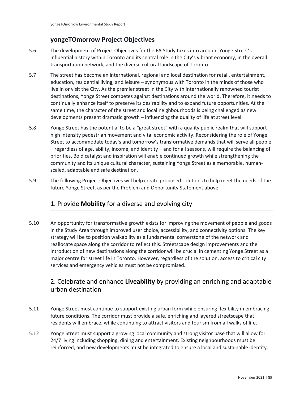## **yongeTOmorrow Project Objectives**

- 5.6 The development of Project Objectives for the EA Study takes into account Yonge Street's influential history within Toronto and its central role in the City's vibrant economy, in the overall transportation network, and the diverse cultural landscape of Toronto.
- 5.7 The street has become an international, regional and local destination for retail, entertainment, education, residential living, and leisure – synonymous with Toronto in the minds of those who live in or visit the City. As the premier street in the City with internationally renowned tourist destinations, Yonge Street competes against destinations around the world. Therefore, it needs to continually enhance itself to preserve its desirability and to expand future opportunities. At the same time, the character of the street and local neighbourhoods is being challenged as new developments present dramatic growth – influencing the quality of life at street level.
- 5.8 Yonge Street has the potential to be a "great street" with a quality public realm that will support high intensity pedestrian movement and vital economic activity. Reconsidering the role of Yonge Street to accommodate today's and tomorrow's transformative demands that will serve all people – regardless of age, ability, income, and identity – and for all seasons, will require the balancing of priorities. Bold catalyst and inspiration will enable continued growth while strengthening the community and its unique cultural character, sustaining Yonge Street as a memorable, humanscaled, adaptable and safe destination.
- 5.9 The following Project Objectives will help create proposed solutions to help meet the needs of the future Yonge Street, as per the Problem and Opportunity Statement above.

#### 1. Provide **Mobility** for a diverse and evolving city

 introduction of new destinations along the corridor will be crucial in cementing Yonge Street as a 5.10 An opportunity for transformative growth exists for improving the movement of people and goods in the Study Area through improved user choice, accessibility, and connectivity options. The key strategy will be to position walkability as a fundamental cornerstone of the network and reallocate space along the corridor to reflect this. Streetscape design improvements and the major centre for street life in Toronto. However, regardless of the solution, access to critical city services and emergency vehicles must not be compromised.

# 2. Celebrate and enhance **Liveability** by providing an enriching and adaptable urban destination

- 5.11 Yonge Street must continue to support existing urban form while ensuring flexibility in embracing future conditions. The corridor must provide a safe, enriching and layered streetscape that residents will embrace, while continuing to attract visitors and tourism from all walks of life.
- 5.12 Yonge Street must support a growing local community and strong visitor base that will allow for 24/7 living including shopping, dining and entertainment. Existing neighbourhoods must be reinforced, and new developments must be integrated to ensure a local and sustainable identity.